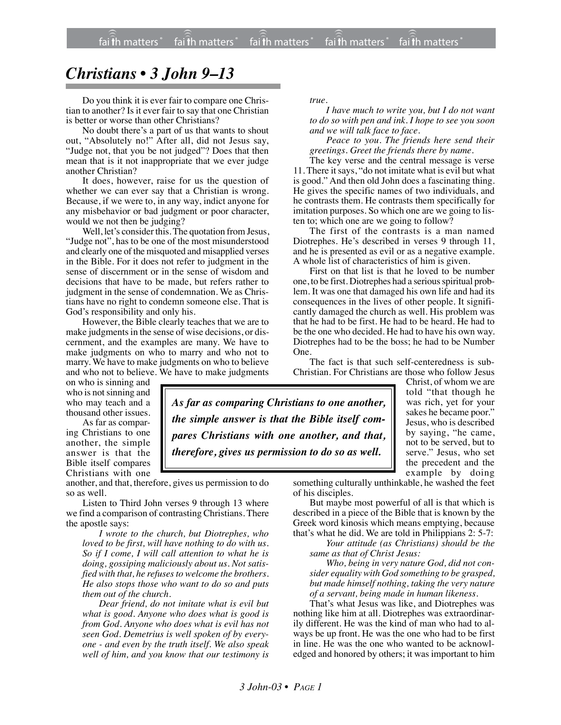## *Christians • 3 John 9–13*

Do you think it is ever fair to compare one Christian to another? Is it ever fair to say that one Christian is better or worse than other Christians?

No doubt there's a part of us that wants to shout out, "Absolutely no!" After all, did not Jesus say, "Judge not, that you be not judged"? Does that then mean that is it not inappropriate that we ever judge another Christian?

It does, however, raise for us the question of whether we can ever say that a Christian is wrong. Because, if we were to, in any way, indict anyone for any misbehavior or bad judgment or poor character, would we not then be judging?

Well, let's consider this. The quotation from Jesus, "Judge not", has to be one of the most misunderstood and clearly one of the misquoted and misapplied verses in the Bible. For it does not refer to judgment in the sense of discernment or in the sense of wisdom and decisions that have to be made, but refers rather to judgment in the sense of condemnation. We as Christians have no right to condemn someone else. That is God's responsibility and only his.

However, the Bible clearly teaches that we are to make judgments in the sense of wise decisions, or discernment, and the examples are many. We have to make judgments on who to marry and who not to marry. We have to make judgments on who to believe and who not to believe. We have to make judgments *true.*

*I have much to write you, but I do not want to do so with pen and ink. I hope to see you soon and we will talk face to face.*

*Peace to you. The friends here send their greetings. Greet the friends there by name.*

The key verse and the central message is verse 11. There it says, "do not imitate what is evil but what is good." And then old John does a fascinating thing. He gives the specific names of two individuals, and he contrasts them. He contrasts them specifically for imitation purposes. So which one are we going to listen to; which one are we going to follow?

The first of the contrasts is a man named Diotrephes. He's described in verses 9 through 11, and he is presented as evil or as a negative example. A whole list of characteristics of him is given.

First on that list is that he loved to be number one, to be first. Diotrephes had a serious spiritual problem. It was one that damaged his own life and had its consequences in the lives of other people. It significantly damaged the church as well. His problem was that he had to be first. He had to be heard. He had to be the one who decided. He had to have his own way. Diotrephes had to be the boss; he had to be Number One.

The fact is that such self-centeredness is sub-Christian. For Christians are those who follow Jesus

on who is sinning and who is not sinning and who may teach and a thousand other issues.

As far as comparing Christians to one another, the simple answer is that the Bible itself compares Christians with one

another, and that, therefore, gives us permission to do so as well.

Listen to Third John verses 9 through 13 where we find a comparison of contrasting Christians. There the apostle says:

*I wrote to the church, but Diotrephes, who loved to be first, will have nothing to do with us. So if I come, I will call attention to what he is doing, gossiping maliciously about us. Not satisfied with that, he refuses to welcome the brothers. He also stops those who want to do so and puts them out of the church.*

*Dear friend, do not imitate what is evil but what is good. Anyone who does what is good is from God. Anyone who does what is evil has not seen God. Demetrius is well spoken of by everyone - and even by the truth itself. We also speak well of him, and you know that our testimony is* Christ, of whom we are told "that though he was rich, yet for your sakes he became poor." Jesus, who is described by saying, "he came, not to be served, but to serve." Jesus, who set the precedent and the example by doing

something culturally unthinkable, he washed the feet of his disciples.

But maybe most powerful of all is that which is described in a piece of the Bible that is known by the Greek word kinosis which means emptying, because that's what he did. We are told in Philippians 2: 5-7:

*Your attitude (as Christians) should be the same as that of Christ Jesus:*

*Who, being in very nature God, did not consider equality with God something to be grasped, but made himself nothing, taking the very nature of a servant, being made in human likeness.*

That's what Jesus was like, and Diotrephes was nothing like him at all. Diotrephes was extraordinarily different. He was the kind of man who had to always be up front. He was the one who had to be first in line. He was the one who wanted to be acknowledged and honored by others; it was important to him

*As far as comparing Christians to one another, the simple answer is that the Bible itself compares Christians with one another, and that, therefore, gives us permission to do so as well.*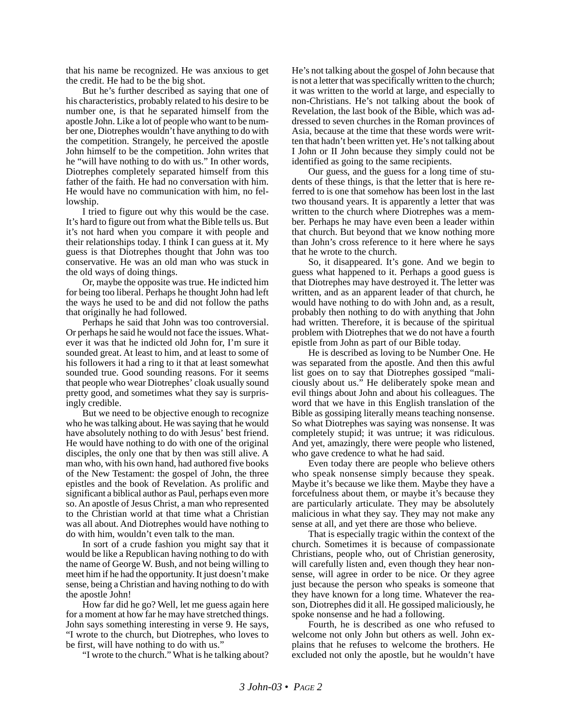that his name be recognized. He was anxious to get the credit. He had to be the big shot.

But he's further described as saying that one of his characteristics, probably related to his desire to be number one, is that he separated himself from the apostle John. Like a lot of people who want to be number one, Diotrephes wouldn't have anything to do with the competition. Strangely, he perceived the apostle John himself to be the competition. John writes that he "will have nothing to do with us." In other words, Diotrephes completely separated himself from this father of the faith. He had no conversation with him. He would have no communication with him, no fellowship.

I tried to figure out why this would be the case. It's hard to figure out from what the Bible tells us. But it's not hard when you compare it with people and their relationships today. I think I can guess at it. My guess is that Diotrephes thought that John was too conservative. He was an old man who was stuck in the old ways of doing things.

Or, maybe the opposite was true. He indicted him for being too liberal. Perhaps he thought John had left the ways he used to be and did not follow the paths that originally he had followed.

Perhaps he said that John was too controversial. Or perhaps he said he would not face the issues. Whatever it was that he indicted old John for, I'm sure it sounded great. At least to him, and at least to some of his followers it had a ring to it that at least somewhat sounded true. Good sounding reasons. For it seems that people who wear Diotrephes' cloak usually sound pretty good, and sometimes what they say is surprisingly credible.

But we need to be objective enough to recognize who he was talking about. He was saying that he would have absolutely nothing to do with Jesus' best friend. He would have nothing to do with one of the original disciples, the only one that by then was still alive. A man who, with his own hand, had authored five books of the New Testament: the gospel of John, the three epistles and the book of Revelation. As prolific and significant a biblical author as Paul, perhaps even more so. An apostle of Jesus Christ, a man who represented to the Christian world at that time what a Christian was all about. And Diotrephes would have nothing to do with him, wouldn't even talk to the man.

In sort of a crude fashion you might say that it would be like a Republican having nothing to do with the name of George W. Bush, and not being willing to meet him if he had the opportunity. It just doesn't make sense, being a Christian and having nothing to do with the apostle John!

How far did he go? Well, let me guess again here for a moment at how far he may have stretched things. John says something interesting in verse 9. He says, "I wrote to the church, but Diotrephes, who loves to be first, will have nothing to do with us."

"I wrote to the church." What is he talking about?

He's not talking about the gospel of John because that is not a letter that was specifically written to the church; it was written to the world at large, and especially to non-Christians. He's not talking about the book of Revelation, the last book of the Bible, which was addressed to seven churches in the Roman provinces of Asia, because at the time that these words were written that hadn't been written yet. He's not talking about I John or II John because they simply could not be identified as going to the same recipients.

Our guess, and the guess for a long time of students of these things, is that the letter that is here referred to is one that somehow has been lost in the last two thousand years. It is apparently a letter that was written to the church where Diotrephes was a member. Perhaps he may have even been a leader within that church. But beyond that we know nothing more than John's cross reference to it here where he says that he wrote to the church.

So, it disappeared. It's gone. And we begin to guess what happened to it. Perhaps a good guess is that Diotrephes may have destroyed it. The letter was written, and as an apparent leader of that church, he would have nothing to do with John and, as a result, probably then nothing to do with anything that John had written. Therefore, it is because of the spiritual problem with Diotrephes that we do not have a fourth epistle from John as part of our Bible today.

He is described as loving to be Number One. He was separated from the apostle. And then this awful list goes on to say that Diotrephes gossiped "maliciously about us." He deliberately spoke mean and evil things about John and about his colleagues. The word that we have in this English translation of the Bible as gossiping literally means teaching nonsense. So what Diotrephes was saying was nonsense. It was completely stupid; it was untrue; it was ridiculous. And yet, amazingly, there were people who listened, who gave credence to what he had said.

Even today there are people who believe others who speak nonsense simply because they speak. Maybe it's because we like them. Maybe they have a forcefulness about them, or maybe it's because they are particularly articulate. They may be absolutely malicious in what they say. They may not make any sense at all, and yet there are those who believe.

That is especially tragic within the context of the church. Sometimes it is because of compassionate Christians, people who, out of Christian generosity, will carefully listen and, even though they hear nonsense, will agree in order to be nice. Or they agree just because the person who speaks is someone that they have known for a long time. Whatever the reason, Diotrephes did it all. He gossiped maliciously, he spoke nonsense and he had a following.

Fourth, he is described as one who refused to welcome not only John but others as well. John explains that he refuses to welcome the brothers. He excluded not only the apostle, but he wouldn't have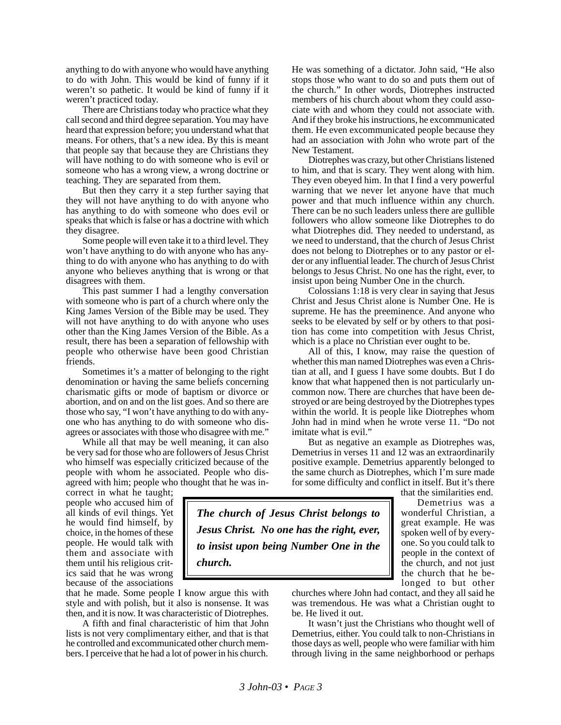anything to do with anyone who would have anything to do with John. This would be kind of funny if it weren't so pathetic. It would be kind of funny if it weren't practiced today.

There are Christians today who practice what they call second and third degree separation. You may have heard that expression before; you understand what that means. For others, that's a new idea. By this is meant that people say that because they are Christians they will have nothing to do with someone who is evil or someone who has a wrong view, a wrong doctrine or teaching. They are separated from them.

But then they carry it a step further saying that they will not have anything to do with anyone who has anything to do with someone who does evil or speaks that which is false or has a doctrine with which they disagree.

Some people will even take it to a third level. They won't have anything to do with anyone who has anything to do with anyone who has anything to do with anyone who believes anything that is wrong or that disagrees with them.

This past summer I had a lengthy conversation with someone who is part of a church where only the King James Version of the Bible may be used. They will not have anything to do with anyone who uses other than the King James Version of the Bible. As a result, there has been a separation of fellowship with people who otherwise have been good Christian friends.

Sometimes it's a matter of belonging to the right denomination or having the same beliefs concerning charismatic gifts or mode of baptism or divorce or abortion, and on and on the list goes. And so there are those who say, "I won't have anything to do with anyone who has anything to do with someone who disagrees or associates with those who disagree with me."

While all that may be well meaning, it can also be very sad for those who are followers of Jesus Christ who himself was especially criticized because of the people with whom he associated. People who disagreed with him; people who thought that he was in-

correct in what he taught; people who accused him of all kinds of evil things. Yet he would find himself, by choice, in the homes of these people. He would talk with them and associate with them until his religious critics said that he was wrong because of the associations

that he made. Some people I know argue this with style and with polish, but it also is nonsense. It was then, and it is now. It was characteristic of Diotrephes.

A fifth and final characteristic of him that John lists is not very complimentary either, and that is that he controlled and excommunicated other church members. I perceive that he had a lot of power in his church. He was something of a dictator. John said, "He also stops those who want to do so and puts them out of the church." In other words, Diotrephes instructed members of his church about whom they could associate with and whom they could not associate with. And if they broke his instructions, he excommunicated them. He even excommunicated people because they had an association with John who wrote part of the New Testament.

Diotrephes was crazy, but other Christians listened to him, and that is scary. They went along with him. They even obeyed him. In that I find a very powerful warning that we never let anyone have that much power and that much influence within any church. There can be no such leaders unless there are gullible followers who allow someone like Diotrephes to do what Diotrephes did. They needed to understand, as we need to understand, that the church of Jesus Christ does not belong to Diotrephes or to any pastor or elder or any influential leader. The church of Jesus Christ belongs to Jesus Christ. No one has the right, ever, to insist upon being Number One in the church.

Colossians 1:18 is very clear in saying that Jesus Christ and Jesus Christ alone is Number One. He is supreme. He has the preeminence. And anyone who seeks to be elevated by self or by others to that position has come into competition with Jesus Christ, which is a place no Christian ever ought to be.

All of this, I know, may raise the question of whether this man named Diotrephes was even a Christian at all, and I guess I have some doubts. But I do know that what happened then is not particularly uncommon now. There are churches that have been destroyed or are being destroyed by the Diotrephes types within the world. It is people like Diotrephes whom John had in mind when he wrote verse 11. "Do not imitate what is evil."

But as negative an example as Diotrephes was, Demetrius in verses 11 and 12 was an extraordinarily positive example. Demetrius apparently belonged to the same church as Diotrephes, which I'm sure made for some difficulty and conflict in itself. But it's there

that the similarities end.

Demetrius was a wonderful Christian, a great example. He was spoken well of by everyone. So you could talk to people in the context of the church, and not just the church that he belonged to but other

*The church of Jesus Christ belongs to Jesus Christ. No one has the right, ever, to insist upon being Number One in the church.*

> churches where John had contact, and they all said he was tremendous. He was what a Christian ought to be. He lived it out.

> It wasn't just the Christians who thought well of Demetrius, either. You could talk to non-Christians in those days as well, people who were familiar with him through living in the same neighborhood or perhaps